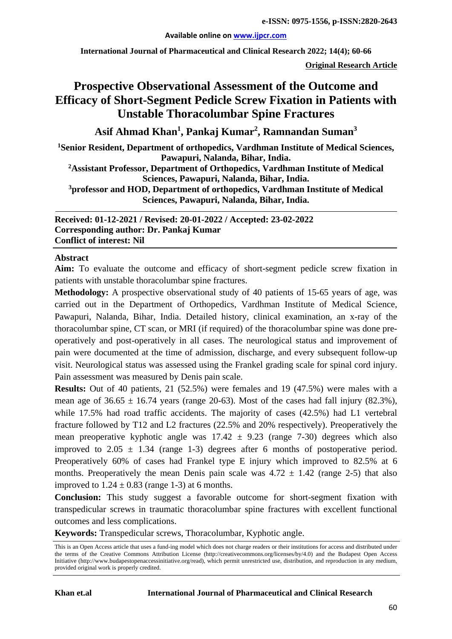#### **Available online on [www.ijpcr.com](http://www.ijpcr.com/)**

**International Journal of Pharmaceutical and Clinical Research 2022; 14(4); 60-66**

**Original Research Article**

# **Prospective Observational Assessment of the Outcome and Efficacy of Short-Segment Pedicle Screw Fixation in Patients with Unstable Thoracolumbar Spine Fractures**

**Asif Ahmad Khan1 , Pankaj Kumar2 , Ramnandan Suman3**

**1 Senior Resident, Department of orthopedics, Vardhman Institute of Medical Sciences, Pawapuri, Nalanda, Bihar, India. 2Assistant Professor, Department of Orthopedics, Vardhman Institute of Medical Sciences, Pawapuri, Nalanda, Bihar, India. 3professor and HOD, Department of orthopedics, Vardhman Institute of Medical Sciences, Pawapuri, Nalanda, Bihar, India.**

#### **Received: 01-12-2021 / Revised: 20-01-2022 / Accepted: 23-02-2022 Corresponding author: Dr. Pankaj Kumar Conflict of interest: Nil**

#### **Abstract**

**Aim:** To evaluate the outcome and efficacy of short-segment pedicle screw fixation in patients with unstable thoracolumbar spine fractures.

**Methodology:** A prospective observational study of 40 patients of 15-65 years of age, was carried out in the Department of Orthopedics, Vardhman Institute of Medical Science, Pawapuri, Nalanda, Bihar, India. Detailed history, clinical examination, an x-ray of the thoracolumbar spine, CT scan, or MRI (if required) of the thoracolumbar spine was done preoperatively and post-operatively in all cases. The neurological status and improvement of pain were documented at the time of admission, discharge, and every subsequent follow-up visit. Neurological status was assessed using the Frankel grading scale for spinal cord injury. Pain assessment was measured by Denis pain scale.

**Results:** Out of 40 patients, 21 (52.5%) were females and 19 (47.5%) were males with a mean age of  $36.65 \pm 16.74$  years (range 20-63). Most of the cases had fall injury (82.3%), while 17.5% had road traffic accidents. The majority of cases (42.5%) had L1 vertebral fracture followed by T12 and L2 fractures (22.5% and 20% respectively). Preoperatively the mean preoperative kyphotic angle was  $17.42 \pm 9.23$  (range 7-30) degrees which also improved to  $2.05 \pm 1.34$  (range 1-3) degrees after 6 months of postoperative period. Preoperatively 60% of cases had Frankel type E injury which improved to 82.5% at 6 months. Preoperatively the mean Denis pain scale was  $4.72 \pm 1.42$  (range 2-5) that also improved to  $1.24 \pm 0.83$  (range 1-3) at 6 months.

**Conclusion:** This study suggest a favorable outcome for short-segment fixation with transpedicular screws in traumatic thoracolumbar spine fractures with excellent functional outcomes and less complications.

**Keywords:** Transpedicular screws, Thoracolumbar, Kyphotic angle.

This is an Open Access article that uses a fund-ing model which does not charge readers or their institutions for access and distributed under the terms of the Creative Commons Attribution License (http://creativecommons.org/licenses/by/4.0) and the Budapest Open Access Initiative (http://www.budapestopenaccessinitiative.org/read), which permit unrestricted use, distribution, and reproduction in any medium, provided original work is properly credited.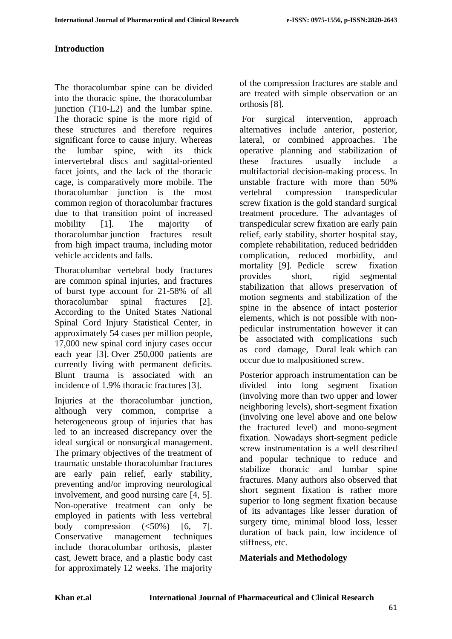#### **Introduction**

The thoracolumbar spine can be divided into the thoracic spine, the thoracolumbar junction (T10-L2) and the lumbar spine. The thoracic spine is the more rigid of these structures and therefore requires significant force to cause injury. Whereas<br>the lumbar spine, with its thick the lumbar spine, with its thick intervertebral discs and sagittal-oriented facet joints, and the lack of the thoracic cage, is comparatively more mobile. The thoracolumbar junction is the most common region of thoracolumbar fractures due to that transition point of increased mobility [1]. The majority of thoracolumbar junction fractures result from high impact trauma, including motor vehicle accidents and falls.

Thoracolumbar vertebral body fractures are common spinal injuries, and fractures of burst type account for 21-58% of all thoracolumbar spinal fractures [2]. According to the United States National Spinal Cord Injury Statistical Center, in approximately 54 cases per million people, 17,000 new spinal cord injury cases occur each year [3]. Over 250,000 patients are currently living with permanent deficits. Blunt trauma is associated with an incidence of 1.9% thoracic fractures [3].

Injuries at the thoracolumbar junction, although very common, comprise a heterogeneous group of injuries that has led to an increased discrepancy over the ideal surgical or nonsurgical management. The primary objectives of the treatment of traumatic unstable thoracolumbar fractures are early pain relief, early stability, preventing and/or improving neurological involvement, and good nursing care [4, 5]. Non-operative treatment can only be employed in patients with less vertebral body compression  $(\leq 50\%)$  [6, 7]. Conservative management techniques include thoracolumbar orthosis, plaster cast, Jewett brace, and a plastic body cast for approximately 12 weeks. The majority

of the compression fractures are stable and are treated with simple observation or an orthosis [8].

For surgical intervention, approach alternatives include anterior, posterior, lateral, or combined approaches. The operative planning and stabilization of these fractures usually include a multifactorial decision-making process. In unstable fracture with more than 50% vertebral compression transpedicular screw fixation is the gold standard surgical treatment procedure. The advantages of transpedicular screw fixation are early pain relief, early stability, shorter hospital stay, complete rehabilitation, reduced bedridden complication, reduced morbidity, and mortality [9]. Pedicle screw fixation provides short, rigid segmental stabilization that allows preservation of motion segments and stabilization of the spine in the absence of intact posterior elements, which is not possible with nonpedicular instrumentation however it can be associated with complications such as cord damage, Dural leak which can occur due to malpositioned screw.

Posterior approach instrumentation can be divided into long segment fixation (involving more than two upper and lower neighboring levels), short-segment fixation (involving one level above and one below the fractured level) and mono-segment fixation. Nowadays short-segment pedicle screw instrumentation is a well described and popular technique to reduce and stabilize thoracic and lumbar spine fractures. Many authors also observed that short segment fixation is rather more superior to long segment fixation because of its advantages like lesser duration of surgery time, minimal blood loss, lesser duration of back pain, low incidence of stiffness, etc.

#### **Materials and Methodology**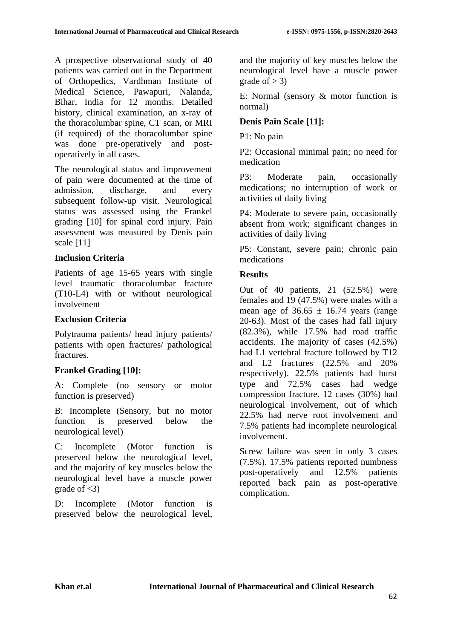A prospective observational study of 40 patients was carried out in the Department of Orthopedics, Vardhman Institute of Medical Science, Pawapuri, Nalanda, Bihar, India for 12 months. Detailed history, clinical examination, an x-ray of the thoracolumbar spine, CT scan, or MRI (if required) of the thoracolumbar spine was done pre-operatively and postoperatively in all cases.

The neurological status and improvement of pain were documented at the time of admission, discharge, and every subsequent follow-up visit. Neurological status was assessed using the Frankel grading [10] for spinal cord injury. Pain assessment was measured by Denis pain scale [11]

#### **Inclusion Criteria**

Patients of age 15-65 years with single level traumatic thoracolumbar fracture (T10-L4) with or without neurological involvement

#### **Exclusion Criteria**

Polytrauma patients/ head injury patients/ patients with open fractures/ pathological fractures.

# **Frankel Grading [10]:**

A: Complete (no sensory or motor function is preserved)

B: Incomplete (Sensory, but no motor function is preserved below the neurological level)

C: Incomplete (Motor function is preserved below the neurological level, and the majority of key muscles below the neurological level have a muscle power grade of  $\langle 3 \rangle$ 

D: Incomplete (Motor function is preserved below the neurological level, and the majority of key muscles below the neurological level have a muscle power grade of  $>$  3)

E: Normal (sensory & motor function is normal)

## **Denis Pain Scale [11]:**

P1: No pain

P2: Occasional minimal pain; no need for medication

P3: Moderate pain, occasionally medications; no interruption of work or activities of daily living

P4: Moderate to severe pain, occasionally absent from work; significant changes in activities of daily living

P5: Constant, severe pain; chronic pain medications

### **Results**

Out of 40 patients, 21 (52.5%) were females and 19 (47.5%) were males with a mean age of  $36.65 \pm 16.74$  years (range 20-63). Most of the cases had fall injury (82.3%), while 17.5% had road traffic accidents. The majority of cases (42.5%) had L1 vertebral fracture followed by T12 and L2 fractures (22.5% and 20% respectively). 22.5% patients had burst type and 72.5% cases had wedge compression fracture. 12 cases (30%) had neurological involvement, out of which 22.5% had nerve root involvement and 7.5% patients had incomplete neurological involvement.

Screw failure was seen in only 3 cases (7.5%). 17.5% patients reported numbness post-operatively and 12.5% patients reported back pain as post-operative complication.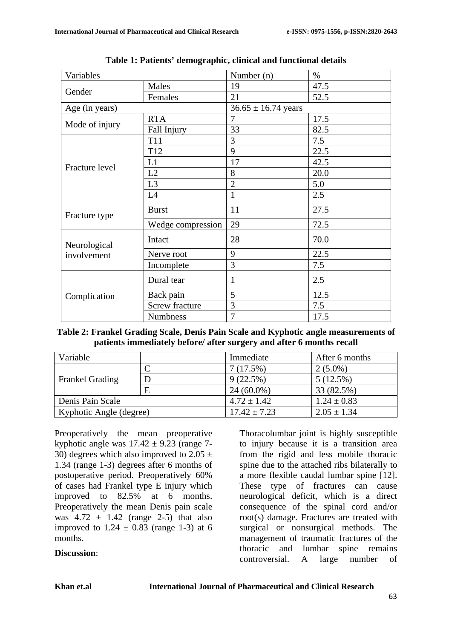| Variables                   |                       | Number (n)              | $\%$ |
|-----------------------------|-----------------------|-------------------------|------|
| Gender                      | Males                 | 19                      | 47.5 |
|                             | Females               | 21                      | 52.5 |
| Age (in years)              |                       | $36.65 \pm 16.74$ years |      |
| Mode of injury              | <b>RTA</b>            | 7                       | 17.5 |
|                             | Fall Injury           | 33                      | 82.5 |
| Fracture level              | <b>T11</b>            | 3                       | 7.5  |
|                             | T <sub>12</sub>       | 9                       | 22.5 |
|                             | L1                    | 17                      | 42.5 |
|                             | L2                    | 8                       | 20.0 |
|                             | L <sub>3</sub>        | $\overline{2}$          | 5.0  |
|                             | L4                    | $\mathbf{1}$            | 2.5  |
| Fracture type               | <b>Burst</b>          | 11                      | 27.5 |
|                             | Wedge compression     | 29                      | 72.5 |
| Neurological<br>involvement | Intact                | 28                      | 70.0 |
|                             | Nerve root            | 9                       | 22.5 |
|                             | Incomplete            | $\overline{3}$          | 7.5  |
| Complication                | Dural tear            | $\mathbf{1}$            | 2.5  |
|                             | Back pain             | 5                       | 12.5 |
|                             | <b>Screw fracture</b> | 3                       | 7.5  |
|                             | <b>Numbness</b>       | 7                       | 17.5 |

**Table 1: Patients' demographic, clinical and functional details**

| Table 2: Frankel Grading Scale, Denis Pain Scale and Kyphotic angle measurements of |
|-------------------------------------------------------------------------------------|
| patients immediately before/ after surgery and after 6 months recall                |

| Variable                |   | Immediate        | After 6 months  |
|-------------------------|---|------------------|-----------------|
| <b>Frankel Grading</b>  |   | 7(17.5%)         | $2(5.0\%)$      |
|                         | D | 9(22.5%)         | 5(12.5%)        |
|                         | E | $24(60.0\%)$     | 33 (82.5%)      |
| Denis Pain Scale        |   | $4.72 \pm 1.42$  | $1.24 \pm 0.83$ |
| Kyphotic Angle (degree) |   | $17.42 \pm 7.23$ | $2.05 \pm 1.34$ |

Preoperatively the mean preoperative kyphotic angle was  $17.42 \pm 9.23$  (range 7-30) degrees which also improved to  $2.05 \pm 1$ 1.34 (range 1-3) degrees after 6 months of postoperative period. Preoperatively 60% of cases had Frankel type E injury which improved to 82.5% at 6 months. Preoperatively the mean Denis pain scale was  $4.72 \pm 1.42$  (range 2-5) that also improved to  $1.24 \pm 0.83$  (range 1-3) at 6 months.

#### **Discussion**:

Thoracolumbar joint is highly susceptible to injury because it is a transition area from the rigid and less mobile thoracic spine due to the attached ribs bilaterally to a more flexible caudal lumbar spine [12]. These type of fractures can cause neurological deficit, which is a direct consequence of the spinal cord and/or root(s) damage. Fractures are treated with surgical or nonsurgical methods. The management of traumatic fractures of the thoracic and lumbar spine remains controversial. A large number of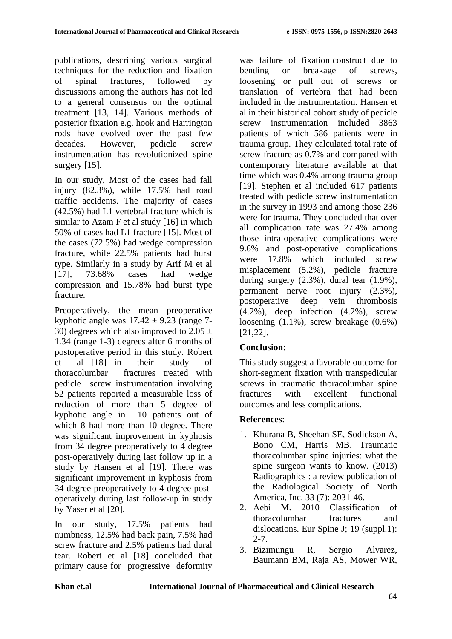publications, describing various surgical techniques for the reduction and fixation of spinal fractures, followed by discussions among the authors has not led to a general consensus on the optimal treatment [13, 14]. Various methods of posterior fixation e.g. hook and Harrington rods have evolved over the past few decades. However, pedicle screw instrumentation has revolutionized spine surgery [15].

In our study, Most of the cases had fall injury (82.3%), while 17.5% had road traffic accidents. The majority of cases (42.5%) had L1 vertebral fracture which is similar to Azam F et al study [16] in which 50% of cases had L1 fracture [15]. Most of the cases (72.5%) had wedge compression fracture, while 22.5% patients had burst type. Similarly in a study by Arif M et al [17], 73.68% cases had wedge compression and 15.78% had burst type fracture.

Preoperatively, the mean preoperative kyphotic angle was  $17.42 \pm 9.23$  (range 7-30) degrees which also improved to 2.05  $\pm$ 1.34 (range 1-3) degrees after 6 months of postoperative period in this study. Robert et al [18] in their study of thoracolumbar fractures treated with pedicle screw instrumentation involving 52 patients reported a measurable loss of reduction of more than 5 degree of kyphotic angle in 10 patients out of which 8 had more than 10 degree. There was significant improvement in kyphosis from 34 degree preoperatively to 4 degree post-operatively during last follow up in a study by Hansen et al [19]. There was significant improvement in kyphosis from 34 degree preoperatively to 4 degree postoperatively during last follow-up in study by Yaser et al [20].

In our study, 17.5% patients had numbness, 12.5% had back pain, 7.5% had screw fracture and 2.5% patients had dural tear. Robert et al [18] concluded that primary cause for progressive deformity was failure of fixation construct due to bending or breakage of screws, loosening or pull out of screws or translation of vertebra that had been included in the instrumentation. Hansen et al in their historical cohort study of pedicle screw instrumentation included 3863 patients of which 586 patients were in trauma group. They calculated total rate of screw fracture as 0.7% and compared with contemporary literature available at that time which was 0.4% among trauma group [19]. Stephen et al included 617 patients treated with pedicle screw instrumentation in the survey in 1993 and among those 236 were for trauma. They concluded that over all complication rate was 27.4% among those intra-operative complications were 9.6% and post-operative complications were 17.8% which included screw misplacement (5.2%), pedicle fracture during surgery (2.3%), dural tear (1.9%), permanent nerve root injury (2.3%), postoperative deep vein thrombosis  $(4.2\%)$ , deep infection  $(4.2\%)$ , screw loosening (1.1%), screw breakage (0.6%) [21,22].

# **Conclusion**:

This study suggest a favorable outcome for short-segment fixation with transpedicular screws in traumatic thoracolumbar spine fractures with excellent functional outcomes and less complications.

# **References**:

- 1. Khurana B, Sheehan SE, Sodickson A, Bono CM, Harris MB. Traumatic thoracolumbar spine injuries: what the spine surgeon wants to know. (2013) Radiographics : a review publication of the Radiological Society of North America, Inc. 33 (7): 2031-46.
- 2. Aebi M. 2010 Classification of thoracolumbar fractures and dislocations. Eur Spine J; 19 (suppl.1): 2-7.
- 3. Bizimungu R, Sergio Alvarez, Baumann BM, Raja AS, Mower WR,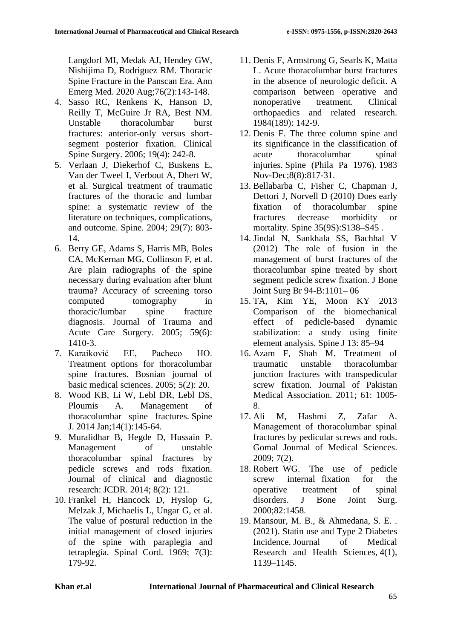Langdorf MI, Medak AJ, Hendey GW, Nishijima D, Rodriguez RM. Thoracic Spine Fracture in the Panscan Era. Ann Emerg Med. 2020 Aug;76(2):143-148.

- 4. Sasso RC, Renkens K, Hanson D, Reilly T, McGuire Jr RA, Best NM. Unstable thoracolumbar burst fractures: anterior-only versus shortsegment posterior fixation. Clinical Spine Surgery. 2006; 19(4): 242-8.
- 5. Verlaan J, Diekerhof C, Buskens E, Van der Tweel I, Verbout A, Dhert W, et al. Surgical treatment of traumatic fractures of the thoracic and lumbar spine: a systematic review of the literature on techniques, complications, and outcome. Spine. 2004; 29(7): 803- 14.
- 6. Berry GE, Adams S, Harris MB, Boles CA, McKernan MG, Collinson F, et al. Are plain radiographs of the spine necessary during evaluation after blunt trauma? Accuracy of screening torso computed tomography in thoracic/lumbar spine fracture diagnosis. Journal of Trauma and Acute Care Surgery. 2005; 59(6): 1410-3.
- 7. Karaiković EE, Pacheco HO. Treatment options for thoracolumbar spine fractures. Bosnian journal of basic medical sciences. 2005; 5(2): 20.
- 8. Wood KB, Li W, Lebl DR, Lebl DS, Ploumis A. Management of thoracolumbar spine fractures. Spine J. 2014 Jan;14(1):145-64.
- 9. Muralidhar B, Hegde D, Hussain P. Management of unstable thoracolumbar spinal fractures by pedicle screws and rods fixation. Journal of clinical and diagnostic research: JCDR. 2014; 8(2): 121.
- 10. Frankel H, Hancock D, Hyslop G, Melzak J, Michaelis L, Ungar G, et al. The value of postural reduction in the initial management of closed injuries of the spine with paraplegia and tetraplegia. Spinal Cord. 1969; 7(3): 179-92.
- 11. Denis F, Armstrong G, Searls K, Matta L. Acute thoracolumbar burst fractures in the absence of neurologic deficit. A comparison between operative and nonoperative treatment. Clinical orthopaedics and related research. 1984(189): 142-9.
- 12. Denis F. The three column spine and its significance in the classification of acute thoracolumbar spinal injuries. Spine (Phila Pa 1976). 1983 Nov-Dec;8(8):817-31.
- 13. Bellabarba C, Fisher C, Chapman J, Dettori J, Norvell D (2010) Does early fixation of thoracolumbar spine fractures decrease morbidity or mortality. Spine 35(9S):S138–S45 .
- 14. Jindal N, Sankhala SS, Bachhal V (2012) The role of fusion in the management of burst fractures of the thoracolumbar spine treated by short segment pedicle screw fixation. J Bone Joint Surg Br 94-B:1101– 06
- 15. TA, Kim YE, Moon KY 2013 Comparison of the biomechanical effect of pedicle-based dynamic stabilization: a study using finite element analysis. Spine J 13: 85–94
- 16. Azam F, Shah M. Treatment of traumatic unstable thoracolumbar junction fractures with transpedicular screw fixation. Journal of Pakistan Medical Association. 2011; 61: 1005- 8.
- 17. Ali M, Hashmi Z, Zafar A. Management of thoracolumbar spinal fractures by pedicular screws and rods. Gomal Journal of Medical Sciences. 2009; 7(2).
- 18. Robert WG. The use of pedicle screw internal fixation for the operative treatment of spinal disorders. J Bone Joint Surg. 2000;82:1458.
- 19. Mansour, M. B., & Ahmedana, S. E. . (2021). Statin use and Type 2 Diabetes Incidence. Journal of Medical Research and Health Sciences, 4(1), 1139–1145.